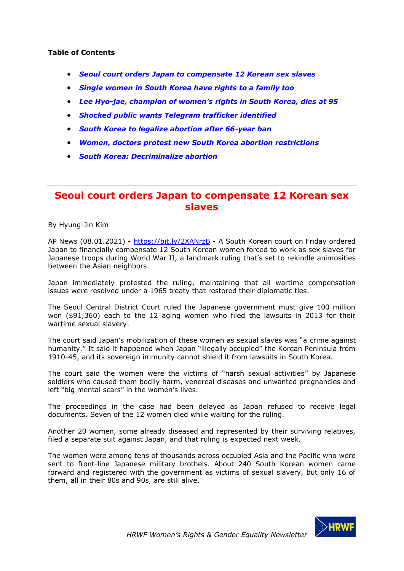### **Table of Contents**

- *[Seoul court orders Japan to compensate 12 Korean sex slaves](#page-0-0)*
- *[Single women in South Korea have rights to a family too](#page-1-0)*
- *Lee Hyo-[jae, champion of women's rights in South Korea, dies at 95](#page-2-0)*
- *[Shocked public wants Telegram trafficker identified](#page-4-0)*
- *[South Korea to legalize abortion after 66-year ban](#page-6-0)*
- *[Women, doctors protest new South Korea abortion restrictions](#page-9-0)*
- *[South Korea: Decriminalize abortion](#page-10-0)*

### <span id="page-0-0"></span>**Seoul court orders Japan to compensate 12 Korean sex slaves**

By Hyung-Jin Kim

AP News (08.01.2021) - <https://bit.ly/2XANrzB> - A South Korean court on Friday ordered Japan to financially compensate 12 South Korean women forced to work as sex slaves for Japanese troops during World War II, a landmark ruling that's set to rekindle animosities between the Asian neighbors.

Japan immediately protested the ruling, maintaining that all wartime compensation issues were resolved under a 1965 treaty that restored their diplomatic ties.

The Seoul Central District Court ruled the Japanese government must give 100 million won (\$91,360) each to the 12 aging women who filed the lawsuits in 2013 for their wartime sexual slavery.

The court said Japan's mobilization of these women as sexual slaves was "a crime against humanity." It said it happened when Japan "illegally occupied" the Korean Peninsula from 1910-45, and its sovereign immunity cannot shield it from lawsuits in South Korea.

The court said the women were the victims of "harsh sexual activities" by Japanese soldiers who caused them bodily harm, venereal diseases and unwanted pregnancies and left "big mental scars" in the women's lives.

The proceedings in the case had been delayed as Japan refused to receive legal documents. Seven of the 12 women died while waiting for the ruling.

Another 20 women, some already diseased and represented by their surviving relatives, filed a separate suit against Japan, and that ruling is expected next week.

The women were among tens of thousands across occupied Asia and the Pacific who were sent to front-line Japanese military brothels. About 240 South Korean women came forward and registered with the government as victims of sexual slavery, but only 16 of them, all in their 80s and 90s, are still alive.

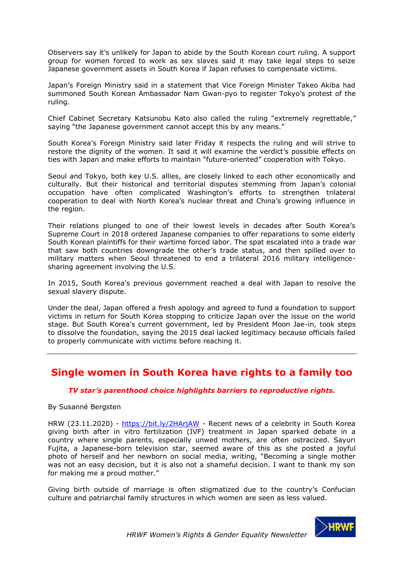Observers say it's unlikely for Japan to abide by the South Korean court ruling. A support group for women forced to work as sex slaves said it may take legal steps to seize Japanese government assets in South Korea if Japan refuses to compensate victims.

Japan's Foreign Ministry said in a statement that Vice Foreign Minister Takeo Akiba had summoned South Korean Ambassador Nam Gwan-pyo to register Tokyo's protest of the ruling.

Chief Cabinet Secretary Katsunobu Kato also called the ruling "extremely regrettable," saying "the Japanese government cannot accept this by any means."

South Korea's Foreign Ministry said later Friday it respects the ruling and will strive to restore the dignity of the women. It said it will examine the verdict's possible effects on ties with Japan and make efforts to maintain "future-oriented" cooperation with Tokyo.

Seoul and Tokyo, both key U.S. allies, are closely linked to each other economically and culturally. But their historical and territorial disputes stemming from Japan's colonial occupation have often complicated Washington's efforts to strengthen trilateral cooperation to deal with North Korea's nuclear threat and China's growing influence in the region.

Their relations plunged to one of their lowest levels in decades after South Korea's Supreme Court in 2018 ordered Japanese companies to offer reparations to some elderly South Korean plaintiffs for their wartime forced labor. The spat escalated into a trade war that saw both countries downgrade the other's trade status, and then spilled over to military matters when Seoul threatened to end a trilateral 2016 military intelligencesharing agreement involving the U.S.

In 2015, South Korea's previous government reached a deal with Japan to resolve the sexual slavery dispute.

Under the deal, Japan offered a fresh apology and agreed to fund a foundation to support victims in return for South Korea stopping to criticize Japan over the issue on the world stage. But South Korea's current government, led by President Moon Jae-in, took steps to dissolve the foundation, saying the 2015 deal lacked legitimacy because officials failed to properly communicate with victims before reaching it.

## <span id="page-1-0"></span>**Single women in South Korea have rights to a family too**

### *TV star's parenthood choice highlights barriers to reproductive rights.*

### By Susanné Bergsten

HRW (23.11.2020) - <https://bit.ly/2HArjAW> - Recent news of a celebrity in South Korea giving birth after in vitro fertilization (IVF) treatment in Japan sparked debate in a country where single parents, especially unwed mothers, are often ostracized. Sayuri Fujita, a Japanese-born television star, seemed aware of this as she posted a joyful photo of herself and her newborn on social media, writing, "Becoming a single mother was not an easy decision, but it is also not a shameful decision. I want to thank my son for making me a proud mother."

Giving birth outside of marriage is often stigmatized due to the country's Confucian culture and patriarchal family structures in which women are seen as less valued.

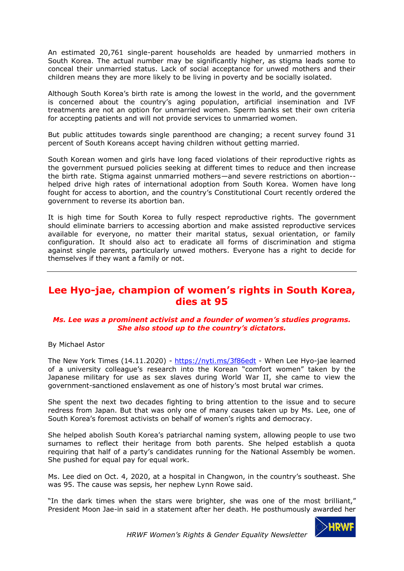An estimated 20,761 single-parent households are headed by unmarried mothers in South Korea. The actual number may be significantly higher, as stigma leads some to conceal their unmarried status. Lack of social acceptance for unwed mothers and their children means they are more likely to be living in poverty and be socially isolated.

Although South Korea's birth rate is among the lowest in the world, and the government is concerned about the country's aging population, artificial insemination and IVF treatments are not an option for unmarried women. Sperm banks set their own criteria for accepting patients and will not provide services to unmarried women.

But public attitudes towards single parenthood are changing; a recent survey found 31 percent of South Koreans accept having children without getting married.

South Korean women and girls have long faced violations of their reproductive rights as the government pursued policies seeking at different times to reduce and then increase the birth rate. Stigma against unmarried mothers—and severe restrictions on abortion- helped drive high rates of international adoption from South Korea. Women have long fought for access to abortion, and the country's Constitutional Court recently ordered the government to reverse its abortion ban.

It is high time for South Korea to fully respect reproductive rights. The government should eliminate barriers to accessing abortion and make assisted reproductive services available for everyone, no matter their marital status, sexual orientation, or family configuration. It should also act to eradicate all forms of discrimination and stigma against single parents, particularly unwed mothers. Everyone has a right to decide for themselves if they want a family or not.

## <span id="page-2-0"></span>**Lee Hyo-jae, champion of women's rights in South Korea, dies at 95**

### *Ms. Lee was a prominent activist and a founder of women's studies programs. She also stood up to the country's dictators.*

By Michael Astor

The New York Times (14.11.2020) - <https://nyti.ms/3f86edt> - When Lee Hyo-jae learned of a university colleague's research into the Korean "comfort women" taken by the Japanese military for use as sex slaves during World War II, she came to view the government-sanctioned enslavement as one of history's most brutal war crimes.

She spent the next two decades fighting to bring attention to the issue and to secure redress from Japan. But that was only one of many causes taken up by Ms. Lee, one of South Korea's foremost activists on behalf of women's rights and democracy.

She helped abolish South Korea's patriarchal naming system, allowing people to use two surnames to reflect their heritage from both parents. She helped establish a quota requiring that half of a party's candidates running for the National Assembly be women. She pushed for equal pay for equal work.

Ms. Lee died on Oct. 4, 2020, at a hospital in Changwon, in the country's southeast. She was 95. The cause was sepsis, her nephew Lynn Rowe said.

"In the dark times when the stars were brighter, she was one of the most brilliant," President Moon Jae-in said in a statement after her death. He posthumously awarded her

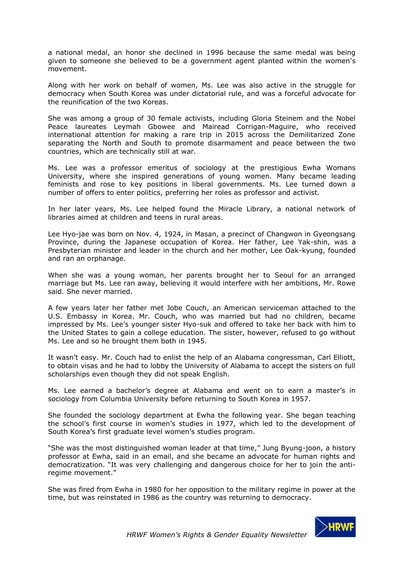a national medal, an honor she declined in 1996 because the same medal was being given to someone she believed to be a government agent planted within the women's movement.

Along with her work on behalf of women, Ms. Lee was also active in the struggle for democracy when South Korea was under dictatorial rule, and was a forceful advocate for the reunification of the two Koreas.

She was among a group of 30 female activists, including Gloria Steinem and the Nobel Peace laureates Leymah Gbowee and Mairead Corrigan-Maguire, who received international attention for making a rare trip in 2015 across the Demilitarized Zone separating the North and South to promote disarmament and peace between the two countries, which are technically still at war.

Ms. Lee was a professor emeritus of sociology at the prestigious Ewha Womans University, where she inspired generations of young women. Many became leading feminists and rose to key positions in liberal governments. Ms. Lee turned down a number of offers to enter politics, preferring her roles as professor and activist.

In her later years, Ms. Lee helped found the Miracle Library, a national network of libraries aimed at children and teens in rural areas.

Lee Hyo-jae was born on Nov. 4, 1924, in Masan, a precinct of Changwon in Gyeongsang Province, during the Japanese occupation of Korea. Her father, Lee Yak-shin, was a Presbyterian minister and leader in the church and her mother, Lee Oak-kyung, founded and ran an orphanage.

When she was a young woman, her parents brought her to Seoul for an arranged marriage but Ms. Lee ran away, believing it would interfere with her ambitions, Mr. Rowe said. She never married.

A few years later her father met Jobe Couch, an American serviceman attached to the U.S. Embassy in Korea. Mr. Couch, who was married but had no children, became impressed by Ms. Lee's younger sister Hyo-suk and offered to take her back with him to the United States to gain a college education. The sister, however, refused to go without Ms. Lee and so he brought them both in 1945.

It wasn't easy. Mr. Couch had to enlist the help of an Alabama congressman, Carl Elliott, to obtain visas and he had to lobby the University of Alabama to accept the sisters on full scholarships even though they did not speak English.

Ms. Lee earned a bachelor's degree at Alabama and went on to earn a master's in sociology from Columbia University before returning to South Korea in 1957.

She founded the sociology department at Ewha the following year. She began teaching the school's first course in women's studies in 1977, which led to the development of South Korea's first graduate level women's studies program.

"She was the most distinguished woman leader at that time," Jung Byung-joon, a history professor at Ewha, said in an email, and she became an advocate for human rights and democratization. "It was very challenging and dangerous choice for her to join the antiregime movement."

She was fired from Ewha in 1980 for her opposition to the military regime in power at the time, but was reinstated in 1986 as the country was returning to democracy.

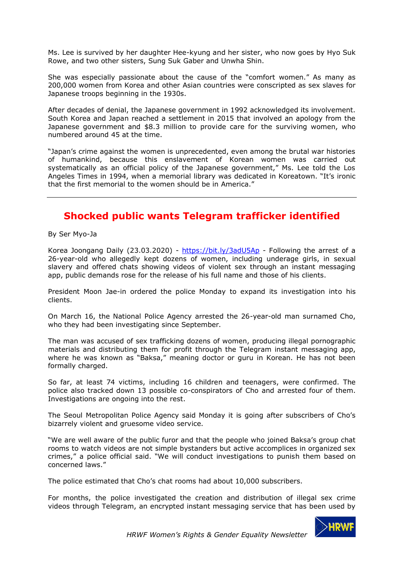Ms. Lee is survived by her daughter Hee-kyung and her sister, who now goes by Hyo Suk Rowe, and two other sisters, Sung Suk Gaber and Unwha Shin.

She was especially passionate about the cause of the "comfort women." As many as 200,000 women from Korea and other Asian countries were conscripted as sex slaves for Japanese troops beginning in the 1930s.

After decades of denial, the Japanese government in 1992 acknowledged its involvement. South Korea and Japan reached a settlement in 2015 that involved an apology from the Japanese government and \$8.3 million to provide care for the surviving women, who numbered around 45 at the time.

"Japan's crime against the women is unprecedented, even among the brutal war histories of humankind, because this enslavement of Korean women was carried out systematically as an official policy of the Japanese government," Ms. Lee told the Los Angeles Times in 1994, when a memorial library was dedicated in Koreatown. "It's ironic that the first memorial to the women should be in America."

## <span id="page-4-0"></span>**Shocked public wants Telegram trafficker identified**

By Ser Myo-Ja

Korea Joongang Daily (23.03.2020) - <https://bit.ly/3adU5Ap> - Following the arrest of a 26-year-old who allegedly kept dozens of women, including underage girls, in sexual slavery and offered chats showing videos of violent sex through an instant messaging app, public demands rose for the release of his full name and those of his clients.

President Moon Jae-in ordered the police Monday to expand its investigation into his clients.

On March 16, the National Police Agency arrested the 26-year-old man surnamed Cho, who they had been investigating since September.

The man was accused of sex trafficking dozens of women, producing illegal pornographic materials and distributing them for profit through the Telegram instant messaging app, where he was known as "Baksa," meaning doctor or guru in Korean. He has not been formally charged.

So far, at least 74 victims, including 16 children and teenagers, were confirmed. The police also tracked down 13 possible co-conspirators of Cho and arrested four of them. Investigations are ongoing into the rest.

The Seoul Metropolitan Police Agency said Monday it is going after subscribers of Cho's bizarrely violent and gruesome video service.

"We are well aware of the public furor and that the people who joined Baksa's group chat rooms to watch videos are not simple bystanders but active accomplices in organized sex crimes," a police official said. "We will conduct investigations to punish them based on concerned laws."

The police estimated that Cho's chat rooms had about 10,000 subscribers.

For months, the police investigated the creation and distribution of illegal sex crime videos through Telegram, an encrypted instant messaging service that has been used by

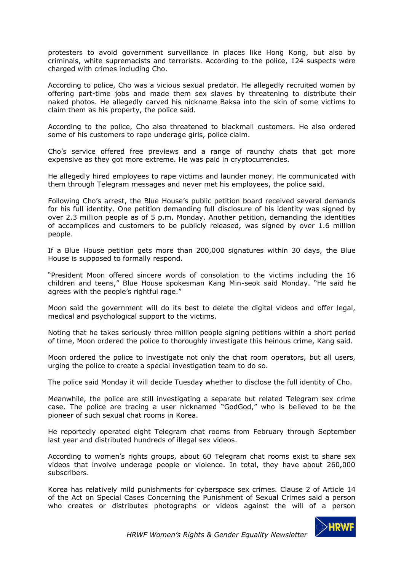protesters to avoid government surveillance in places like Hong Kong, but also by criminals, white supremacists and terrorists. According to the police, 124 suspects were charged with crimes including Cho.

According to police, Cho was a vicious sexual predator. He allegedly recruited women by offering part-time jobs and made them sex slaves by threatening to distribute their naked photos. He allegedly carved his nickname Baksa into the skin of some victims to claim them as his property, the police said.

According to the police, Cho also threatened to blackmail customers. He also ordered some of his customers to rape underage girls, police claim.

Cho's service offered free previews and a range of raunchy chats that got more expensive as they got more extreme. He was paid in cryptocurrencies.

He allegedly hired employees to rape victims and launder money. He communicated with them through Telegram messages and never met his employees, the police said.

Following Cho's arrest, the Blue House's public petition board received several demands for his full identity. One petition demanding full disclosure of his identity was signed by over 2.3 million people as of 5 p.m. Monday. Another petition, demanding the identities of accomplices and customers to be publicly released, was signed by over 1.6 million people.

If a Blue House petition gets more than 200,000 signatures within 30 days, the Blue House is supposed to formally respond.

"President Moon offered sincere words of consolation to the victims including the 16 children and teens," Blue House spokesman Kang Min-seok said Monday. "He said he agrees with the people's rightful rage."

Moon said the government will do its best to delete the digital videos and offer legal, medical and psychological support to the victims.

Noting that he takes seriously three million people signing petitions within a short period of time, Moon ordered the police to thoroughly investigate this heinous crime, Kang said.

Moon ordered the police to investigate not only the chat room operators, but all users, urging the police to create a special investigation team to do so.

The police said Monday it will decide Tuesday whether to disclose the full identity of Cho.

Meanwhile, the police are still investigating a separate but related Telegram sex crime case. The police are tracing a user nicknamed "GodGod," who is believed to be the pioneer of such sexual chat rooms in Korea.

He reportedly operated eight Telegram chat rooms from February through September last year and distributed hundreds of illegal sex videos.

According to women's rights groups, about 60 Telegram chat rooms exist to share sex videos that involve underage people or violence. In total, they have about 260,000 subscribers.

Korea has relatively mild punishments for cyberspace sex crimes. Clause 2 of Article 14 of the Act on Special Cases Concerning the Punishment of Sexual Crimes said a person who creates or distributes photographs or videos against the will of a person

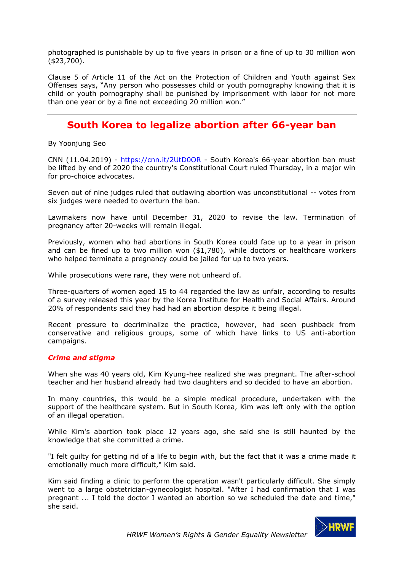photographed is punishable by up to five years in prison or a fine of up to 30 million won (\$23,700).

Clause 5 of Article 11 of the Act on the Protection of Children and Youth against Sex Offenses says, "Any person who possesses child or youth pornography knowing that it is child or youth pornography shall be punished by imprisonment with labor for not more than one year or by a fine not exceeding 20 million won."

# <span id="page-6-0"></span>**South Korea to legalize abortion after 66-year ban**

By Yoonjung Seo

CNN (11.04.2019) - <https://cnn.it/2UtD0OR> - South Korea's 66-year abortion ban must be lifted by end of 2020 the country's Constitutional Court ruled Thursday, in a major win for pro-choice advocates.

Seven out of nine judges ruled that outlawing abortion was unconstitutional -- votes from six judges were needed to overturn the ban.

Lawmakers now have until December 31, 2020 to revise the law. Termination of pregnancy after 20-weeks will remain illegal.

Previously, women who had abortions in South Korea could face up to a year in prison and can be fined up to two million won (\$1,780), while doctors or healthcare workers who helped terminate a pregnancy could be jailed for up to two years.

While prosecutions were rare, they were not unheard of.

Three-quarters of women aged 15 to 44 regarded the law as unfair, according to results of a survey released this year by the Korea Institute for Health and Social Affairs. Around 20% of respondents said they had had an abortion despite it being illegal.

Recent pressure to decriminalize the practice, however, had seen pushback from conservative and religious groups, some of which have links to US anti-abortion campaigns.

### *Crime and stigma*

When she was 40 years old, Kim Kyung-hee realized she was pregnant. The after-school teacher and her husband already had two daughters and so decided to have an abortion.

In many countries, this would be a simple medical procedure, undertaken with the support of the healthcare system. But in South Korea, Kim was left only with the option of an illegal operation.

While Kim's abortion took place 12 years ago, she said she is still haunted by the knowledge that she committed a crime.

"I felt guilty for getting rid of a life to begin with, but the fact that it was a crime made it emotionally much more difficult," Kim said.

Kim said finding a clinic to perform the operation wasn't particularly difficult. She simply went to a large obstetrician-gynecologist hospital. "After I had confirmation that I was pregnant ... I told the doctor I wanted an abortion so we scheduled the date and time," she said.

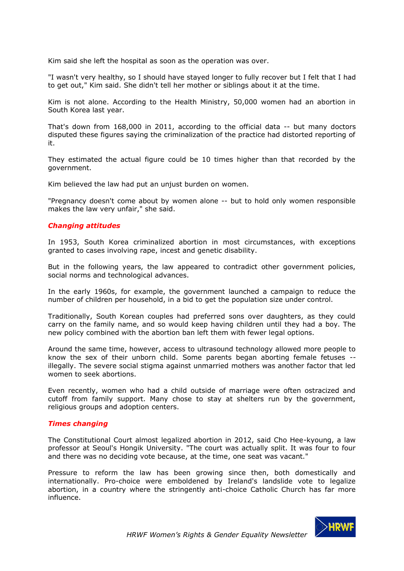Kim said she left the hospital as soon as the operation was over.

"I wasn't very healthy, so I should have stayed longer to fully recover but I felt that I had to get out," Kim said. She didn't tell her mother or siblings about it at the time.

Kim is not alone. According to the Health Ministry, 50,000 women had an abortion in South Korea last year.

That's down from 168,000 in 2011, according to the official data -- but many doctors disputed these figures saying the criminalization of the practice had distorted reporting of it.

They estimated the actual figure could be 10 times higher than that recorded by the government.

Kim believed the law had put an unjust burden on women.

"Pregnancy doesn't come about by women alone -- but to hold only women responsible makes the law very unfair," she said.

#### *Changing attitudes*

In 1953, South Korea criminalized abortion in most circumstances, with exceptions granted to cases involving rape, incest and genetic disability.

But in the following years, the law appeared to contradict other government policies, social norms and technological advances.

In the early 1960s, for example, the government launched a campaign to reduce the number of children per household, in a bid to get the population size under control.

Traditionally, South Korean couples had preferred sons over daughters, as they could carry on the family name, and so would keep having children until they had a boy. The new policy combined with the abortion ban left them with fewer legal options.

Around the same time, however, access to ultrasound technology allowed more people to know the sex of their unborn child. Some parents began aborting female fetuses - illegally. The severe social stigma against unmarried mothers was another factor that led women to seek abortions.

Even recently, women who had a child outside of marriage were often ostracized and cutoff from family support. Many chose to stay at shelters run by the government, religious groups and adoption centers.

#### *Times changing*

The Constitutional Court almost legalized abortion in 2012, said Cho Hee-kyoung, a law professor at Seoul's Hongik University. "The court was actually split. It was four to four and there was no deciding vote because, at the time, one seat was vacant."

Pressure to reform the law has been growing since then, both domestically and internationally. Pro-choice were emboldened by Ireland's landslide vote to legalize abortion, in a country where the stringently anti-choice Catholic Church has far more influence.

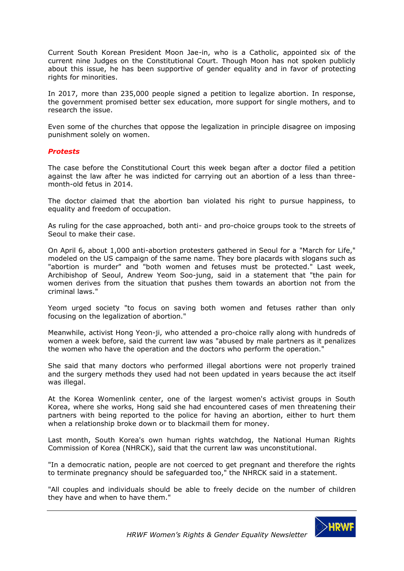Current South Korean President Moon Jae-in, who is a Catholic, appointed six of the current nine Judges on the Constitutional Court. Though Moon has not spoken publicly about this issue, he has been supportive of gender equality and in favor of protecting rights for minorities.

In 2017, more than 235,000 people signed a petition to legalize abortion. In response, the government promised better sex education, more support for single mothers, and to research the issue.

Even some of the churches that oppose the legalization in principle disagree on imposing punishment solely on women.

#### *Protests*

The case before the Constitutional Court this week began after a doctor filed a petition against the law after he was indicted for carrying out an abortion of a less than threemonth-old fetus in 2014.

The doctor claimed that the abortion ban violated his right to pursue happiness, to equality and freedom of occupation.

As ruling for the case approached, both anti- and pro-choice groups took to the streets of Seoul to make their case.

On April 6, about 1,000 anti-abortion protesters gathered in Seoul for a "March for Life," modeled on the US campaign of the same name. They bore placards with slogans such as "abortion is murder" and "both women and fetuses must be protected." Last week, Archibishop of Seoul, Andrew Yeom Soo-jung, said in a statement that "the pain for women derives from the situation that pushes them towards an abortion not from the criminal laws."

Yeom urged society "to focus on saving both women and fetuses rather than only focusing on the legalization of abortion."

Meanwhile, activist Hong Yeon-ji, who attended a pro-choice rally along with hundreds of women a week before, said the current law was "abused by male partners as it penalizes the women who have the operation and the doctors who perform the operation."

She said that many doctors who performed illegal abortions were not properly trained and the surgery methods they used had not been updated in years because the act itself was illegal.

At the Korea Womenlink center, one of the largest women's activist groups in South Korea, where she works, Hong said she had encountered cases of men threatening their partners with being reported to the police for having an abortion, either to hurt them when a relationship broke down or to blackmail them for money.

Last month, South Korea's own human rights watchdog, the National Human Rights Commission of Korea (NHRCK), said that the current law was unconstitutional.

"In a democratic nation, people are not coerced to get pregnant and therefore the rights to terminate pregnancy should be safeguarded too," the NHRCK said in a statement.

"All couples and individuals should be able to freely decide on the number of children they have and when to have them."

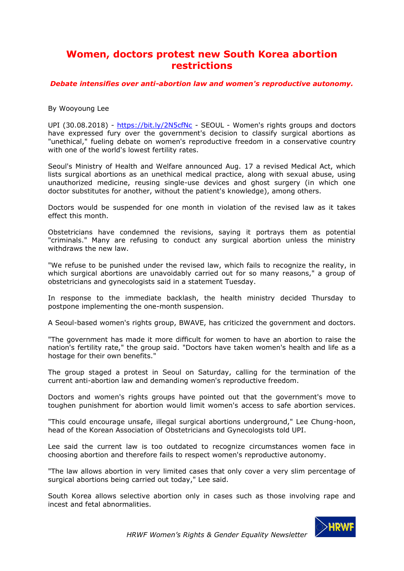# <span id="page-9-0"></span>**Women, doctors protest new South Korea abortion restrictions**

#### *Debate intensifies over anti-abortion law and women's reproductive autonomy.*

By Wooyoung Lee

UPI (30.08.2018) - <https://bit.ly/2N5cfNc> - SEOUL - Women's rights groups and doctors have expressed fury over the government's decision to classify surgical abortions as "unethical," fueling debate on women's reproductive freedom in a conservative country with one of the world's lowest fertility rates.

Seoul's Ministry of Health and Welfare announced Aug. 17 a revised Medical Act, which lists surgical abortions as an unethical medical practice, along with sexual abuse, using unauthorized medicine, reusing single-use devices and ghost surgery (in which one doctor substitutes for another, without the patient's knowledge), among others.

Doctors would be suspended for one month in violation of the revised law as it takes effect this month.

Obstetricians have condemned the revisions, saying it portrays them as potential "criminals." Many are refusing to conduct any surgical abortion unless the ministry withdraws the new law.

"We refuse to be punished under the revised law, which fails to recognize the reality, in which surgical abortions are unavoidably carried out for so many reasons," a group of obstetricians and gynecologists said in a statement Tuesday.

In response to the immediate backlash, the health ministry decided Thursday to postpone implementing the one-month suspension.

A Seoul-based women's rights group, BWAVE, has criticized the government and doctors.

"The government has made it more difficult for women to have an abortion to raise the nation's fertility rate," the group said. "Doctors have taken women's health and life as a hostage for their own benefits."

The group staged a protest in Seoul on Saturday, calling for the termination of the current anti-abortion law and demanding women's reproductive freedom.

Doctors and women's rights groups have pointed out that the government's move to toughen punishment for abortion would limit women's access to safe abortion services.

"This could encourage unsafe, illegal surgical abortions underground," Lee Chung-hoon, head of the Korean Association of Obstetricians and Gynecologists told UPI.

Lee said the current law is too outdated to recognize circumstances women face in choosing abortion and therefore fails to respect women's reproductive autonomy.

"The law allows abortion in very limited cases that only cover a very slim percentage of surgical abortions being carried out today," Lee said.

South Korea allows selective abortion only in cases such as those involving rape and incest and fetal abnormalities.

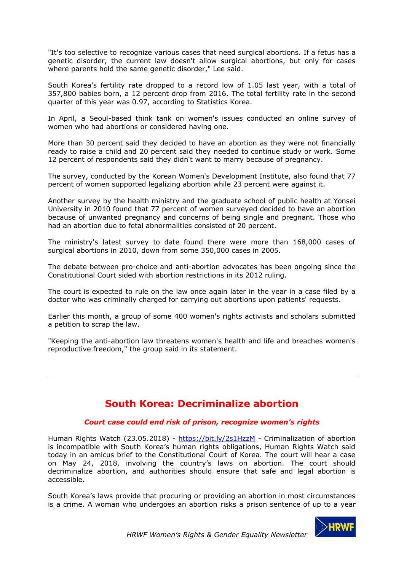"It's too selective to recognize various cases that need surgical abortions. If a fetus has a genetic disorder, the current law doesn't allow surgical abortions, but only for cases where parents hold the same genetic disorder," Lee said.

South Korea's fertility rate dropped to a record low of 1.05 last year, with a total of 357,800 babies born, a 12 percent drop from 2016. The total fertility rate in the second quarter of this year was 0.97, according to Statistics Korea.

In April, a Seoul-based think tank on women's issues conducted an online survey of women who had abortions or considered having one.

More than 30 percent said they decided to have an abortion as they were not financially ready to raise a child and 20 percent said they needed to continue study or work. Some 12 percent of respondents said they didn't want to marry because of pregnancy.

The survey, conducted by the Korean Women's Development Institute, also found that 77 percent of women supported legalizing abortion while 23 percent were against it.

Another survey by the health ministry and the graduate school of public health at Yonsei University in 2010 found that 77 percent of women surveyed decided to have an abortion because of unwanted pregnancy and concerns of being single and pregnant. Those who had an abortion due to fetal abnormalities consisted of 20 percent.

The ministry's latest survey to date found there were more than 168,000 cases of surgical abortions in 2010, down from some 350,000 cases in 2005.

The debate between pro-choice and anti-abortion advocates has been ongoing since the Constitutional Court sided with abortion restrictions in its 2012 ruling.

The court is expected to rule on the law once again later in the year in a case filed by a doctor who was criminally charged for carrying out abortions upon patients' requests.

Earlier this month, a group of some 400 women's rights activists and scholars submitted a petition to scrap the law.

"Keeping the anti-abortion law threatens women's health and life and breaches women's reproductive freedom," the group said in its statement.

# **South Korea: Decriminalize abortion**

#### *Court case could end risk of prison, recognize women's rights*

<span id="page-10-0"></span>Human Rights Watch (23.05.2018) - <https://bit.ly/2s1HzzM> - Criminalization of abortion is incompatible with South Korea's human rights obligations, Human Rights Watch said today in an amicus brief to the Constitutional Court of Korea. The court will hear a case on May 24, 2018, involving the country's laws on abortion. The court should decriminalize abortion, and authorities should ensure that safe and legal abortion is accessible.

South Korea's laws provide that procuring or providing an abortion in most circumstances is a crime. A woman who undergoes an abortion risks a prison sentence of up to a year